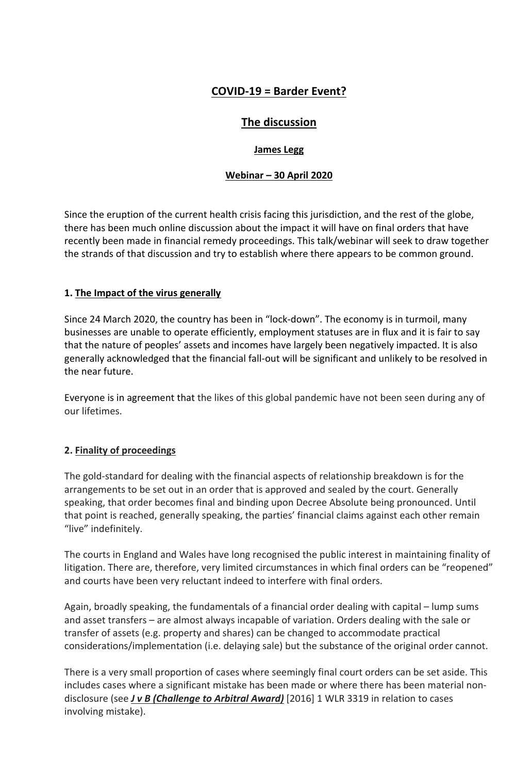# **COVID-19 = Barder Event?**

## **The discussion**

## **James Legg**

## **Webinar – 30 April 2020**

Since the eruption of the current health crisis facing this jurisdiction, and the rest of the globe, there has been much online discussion about the impact it will have on final orders that have recently been made in financial remedy proceedings. This talk/webinar will seek to draw together the strands of that discussion and try to establish where there appears to be common ground.

## **1. The Impact of the virus generally**

Since 24 March 2020, the country has been in "lock-down". The economy is in turmoil, many businesses are unable to operate efficiently, employment statuses are in flux and it is fair to say that the nature of peoples' assets and incomes have largely been negatively impacted. It is also generally acknowledged that the financial fall-out will be significant and unlikely to be resolved in the near future.

Everyone is in agreement that the likes of this global pandemic have not been seen during any of our lifetimes.

## **2. Finality of proceedings**

The gold-standard for dealing with the financial aspects of relationship breakdown is for the arrangements to be set out in an order that is approved and sealed by the court. Generally speaking, that order becomes final and binding upon Decree Absolute being pronounced. Until that point is reached, generally speaking, the parties' financial claims against each other remain "live" indefinitely.

The courts in England and Wales have long recognised the public interest in maintaining finality of litigation. There are, therefore, very limited circumstances in which final orders can be "reopened" and courts have been very reluctant indeed to interfere with final orders.

Again, broadly speaking, the fundamentals of a financial order dealing with capital – lump sums and asset transfers – are almost always incapable of variation. Orders dealing with the sale or transfer of assets (e.g. property and shares) can be changed to accommodate practical considerations/implementation (i.e. delaying sale) but the substance of the original order cannot.

There is a very small proportion of cases where seemingly final court orders can be set aside. This includes cases where a significant mistake has been made or where there has been material nondisclosure (see *J v B (Challenge to Arbitral Award)* [2016] 1 WLR 3319 in relation to cases involving mistake).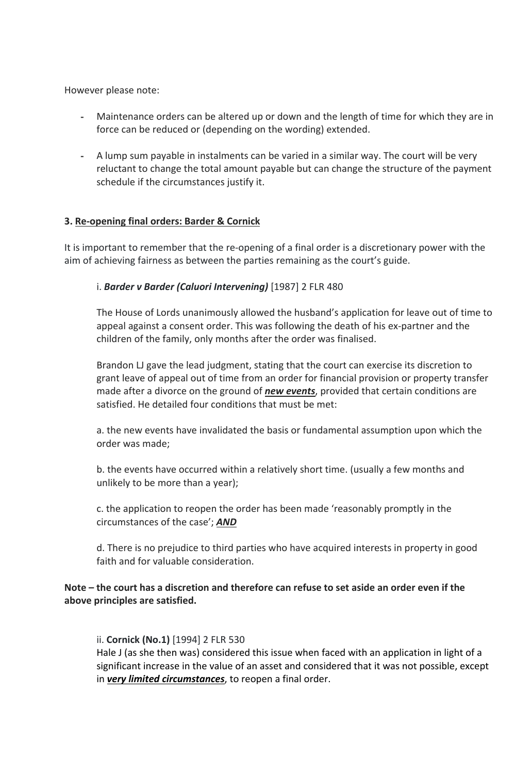However please note:

- Maintenance orders can be altered up or down and the length of time for which they are in force can be reduced or (depending on the wording) extended.
- A lump sum payable in instalments can be varied in a similar way. The court will be very reluctant to change the total amount payable but can change the structure of the payment schedule if the circumstances justify it.

#### **3. Re-opening final orders: Barder & Cornick**

It is important to remember that the re-opening of a final order is a discretionary power with the aim of achieving fairness as between the parties remaining as the court's guide.

#### i. *Barder v Barder (Caluori Intervening)* [1987] 2 FLR 480

The House of Lords unanimously allowed the husband's application for leave out of time to appeal against a consent order. This was following the death of his ex-partner and the children of the family, only months after the order was finalised.

Brandon LJ gave the lead judgment, stating that the court can exercise its discretion to grant leave of appeal out of time from an order for financial provision or property transfer made after a divorce on the ground of *new events*, provided that certain conditions are satisfied. He detailed four conditions that must be met:

a. the new events have invalidated the basis or fundamental assumption upon which the order was made;

b. the events have occurred within a relatively short time. (usually a few months and unlikely to be more than a year);

c. the application to reopen the order has been made 'reasonably promptly in the circumstances of the case'; *AND*

d. There is no prejudice to third parties who have acquired interests in property in good faith and for valuable consideration.

#### **Note – the court has a discretion and therefore can refuse to set aside an order even if the above principles are satisfied.**

ii. **Cornick (No.1)** [1994] 2 FLR 530

Hale J (as she then was) considered this issue when faced with an application in light of a significant increase in the value of an asset and considered that it was not possible, except in *very limited circumstances*, to reopen a final order.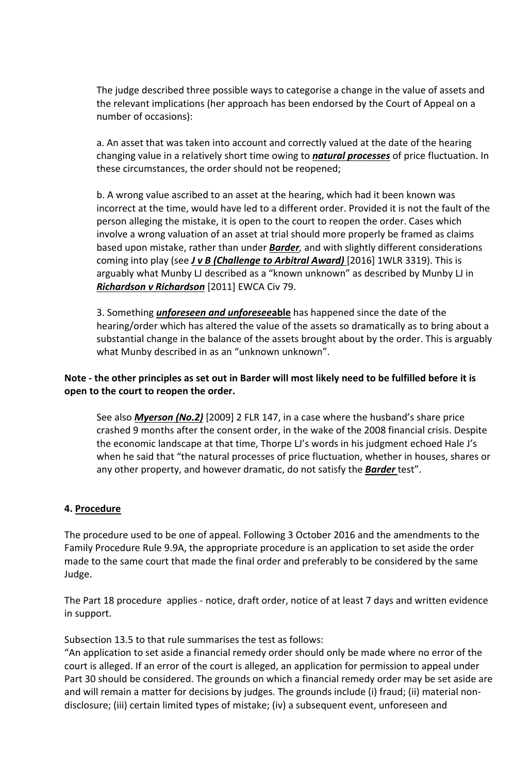The judge described three possible ways to categorise a change in the value of assets and the relevant implications (her approach has been endorsed by the Court of Appeal on a number of occasions):

a. An asset that was taken into account and correctly valued at the date of the hearing changing value in a relatively short time owing to *natural processes* of price fluctuation. In these circumstances, the order should not be reopened;

b. A wrong value ascribed to an asset at the hearing, which had it been known was incorrect at the time, would have led to a different order. Provided it is not the fault of the person alleging the mistake, it is open to the court to reopen the order. Cases which involve a wrong valuation of an asset at trial should more properly be framed as claims based upon mistake, rather than under *Barder,* and with slightly different considerations coming into play (see *J v B (Challenge to Arbitral Award)* [2016] 1WLR 3319). This is arguably what Munby LJ described as a "known unknown" as described by Munby LJ in *Richardson v Richardson* [2011] EWCA Civ 79.

3. Something *unforeseen and unforesee***able** has happened since the date of the hearing/order which has altered the value of the assets so dramatically as to bring about a substantial change in the balance of the assets brought about by the order. This is arguably what Munby described in as an "unknown unknown".

## **Note - the other principles as set out in Barder will most likely need to be fulfilled before it is open to the court to reopen the order.**

See also *Myerson (No.2)* [2009] 2 FLR 147, in a case where the husband's share price crashed 9 months after the consent order, in the wake of the 2008 financial crisis. Despite the economic landscape at that time, Thorpe LJ's words in his judgment echoed Hale J's when he said that "the natural processes of price fluctuation, whether in houses, shares or any other property, and however dramatic, do not satisfy the *Barder* test".

#### **4. Procedure**

The procedure used to be one of appeal. Following 3 October 2016 and the amendments to the Family Procedure Rule 9.9A, the appropriate procedure is an application to set aside the order made to the same court that made the final order and preferably to be considered by the same Judge.

The Part 18 procedure applies - notice, draft order, notice of at least 7 days and written evidence in support.

Subsection 13.5 to that rule summarises the test as follows:

"An application to set aside a financial remedy order should only be made where no error of the court is alleged. If an error of the court is alleged, an application for permission to appeal under Part 30 should be considered. The grounds on which a financial remedy order may be set aside are and will remain a matter for decisions by judges. The grounds include (i) fraud; (ii) material nondisclosure; (iii) certain limited types of mistake; (iv) a subsequent event, unforeseen and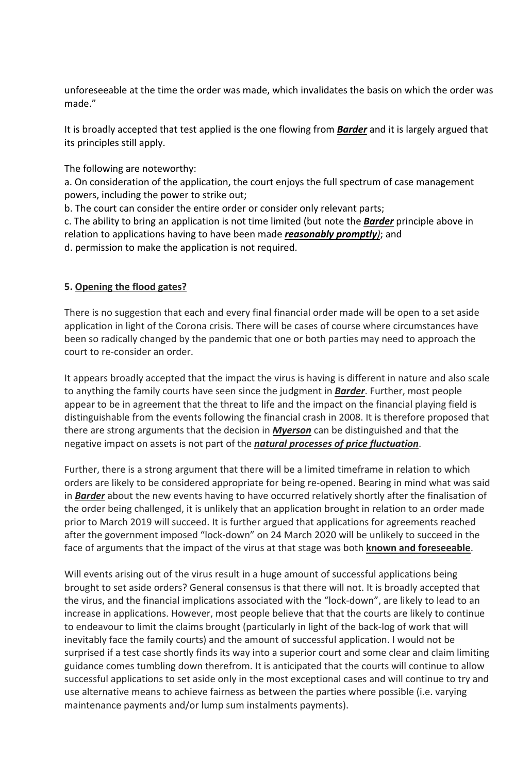unforeseeable at the time the order was made, which invalidates the basis on which the order was made."

It is broadly accepted that test applied is the one flowing from *Barder* and it is largely argued that its principles still apply.

The following are noteworthy:

a. On consideration of the application, the court enjoys the full spectrum of case management powers, including the power to strike out;

b. The court can consider the entire order or consider only relevant parts;

c. The ability to bring an application is not time limited (but note the *Barder* principle above in relation to applications having to have been made *reasonably promptly)*; and d. permission to make the application is not required.

## **5. Opening the flood gates?**

There is no suggestion that each and every final financial order made will be open to a set aside application in light of the Corona crisis. There will be cases of course where circumstances have been so radically changed by the pandemic that one or both parties may need to approach the court to re-consider an order.

It appears broadly accepted that the impact the virus is having is different in nature and also scale to anything the family courts have seen since the judgment in *Barder*. Further, most people appear to be in agreement that the threat to life and the impact on the financial playing field is distinguishable from the events following the financial crash in 2008. It is therefore proposed that there are strong arguments that the decision in *Myerson* can be distinguished and that the negative impact on assets is not part of the *natural processes of price fluctuation*.

Further, there is a strong argument that there will be a limited timeframe in relation to which orders are likely to be considered appropriate for being re-opened. Bearing in mind what was said in *Barder* about the new events having to have occurred relatively shortly after the finalisation of the order being challenged, it is unlikely that an application brought in relation to an order made prior to March 2019 will succeed. It is further argued that applications for agreements reached after the government imposed "lock-down" on 24 March 2020 will be unlikely to succeed in the face of arguments that the impact of the virus at that stage was both **known and foreseeable**.

Will events arising out of the virus result in a huge amount of successful applications being brought to set aside orders? General consensus is that there will not. It is broadly accepted that the virus, and the financial implications associated with the "lock-down", are likely to lead to an increase in applications. However, most people believe that that the courts are likely to continue to endeavour to limit the claims brought (particularly in light of the back-log of work that will inevitably face the family courts) and the amount of successful application. I would not be surprised if a test case shortly finds its way into a superior court and some clear and claim limiting guidance comes tumbling down therefrom. It is anticipated that the courts will continue to allow successful applications to set aside only in the most exceptional cases and will continue to try and use alternative means to achieve fairness as between the parties where possible (i.e. varying maintenance payments and/or lump sum instalments payments).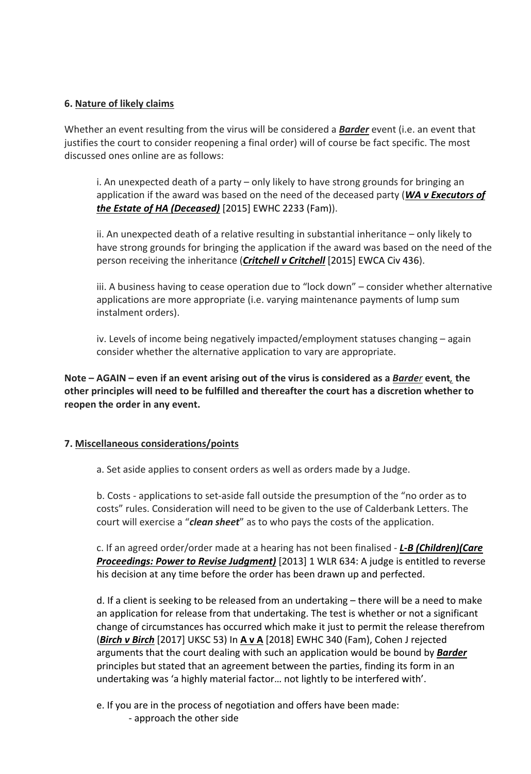#### **6. Nature of likely claims**

Whether an event resulting from the virus will be considered a *Barder* event (i.e. an event that justifies the court to consider reopening a final order) will of course be fact specific. The most discussed ones online are as follows:

i. An unexpected death of a party – only likely to have strong grounds for bringing an application if the award was based on the need of the deceased party (*WA v Executors of the Estate of HA (Deceased)* [2015] EWHC 2233 (Fam)).

ii. An unexpected death of a relative resulting in substantial inheritance – only likely to have strong grounds for bringing the application if the award was based on the need of the person receiving the inheritance (*Critchell v Critchell* [2015] EWCA Civ 436).

iii. A business having to cease operation due to "lock down" – consider whether alternative applications are more appropriate (i.e. varying maintenance payments of lump sum instalment orders).

iv. Levels of income being negatively impacted/employment statuses changing – again consider whether the alternative application to vary are appropriate.

**Note – AGAIN – even if an event arising out of the virus is considered as a** *Barder* **event***,* **the other principles will need to be fulfilled and thereafter the court has a discretion whether to reopen the order in any event.** 

## **7. Miscellaneous considerations/points**

a. Set aside applies to consent orders as well as orders made by a Judge.

b. Costs - applications to set-aside fall outside the presumption of the "no order as to costs" rules. Consideration will need to be given to the use of Calderbank Letters. The court will exercise a "*clean sheet*" as to who pays the costs of the application.

c. If an agreed order/order made at a hearing has not been finalised - *L-B (Children)(Care Proceedings: Power to Revise Judgment)* [2013] 1 WLR 634: A judge is entitled to reverse his decision at any time before the order has been drawn up and perfected.

d. If a client is seeking to be released from an undertaking – there will be a need to make an application for release from that undertaking. The test is whether or not a significant change of circumstances has occurred which make it just to permit the release therefrom (*Birch v Birch* [2017] UKSC 53) In **A v A** [2018] EWHC 340 (Fam), Cohen J rejected arguments that the court dealing with such an application would be bound by *Barder* principles but stated that an agreement between the parties, finding its form in an undertaking was 'a highly material factor… not lightly to be interfered with'.

e. If you are in the process of negotiation and offers have been made:

- approach the other side